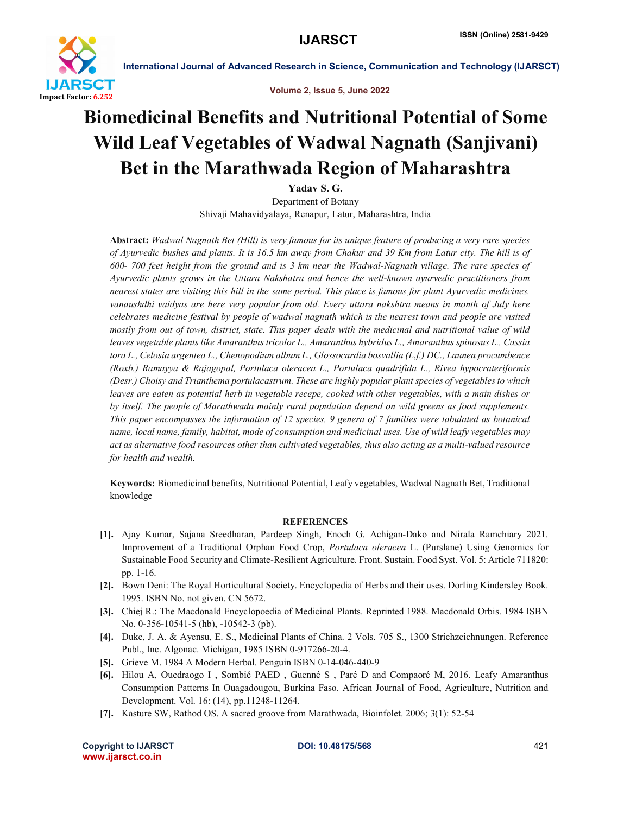

International Journal of Advanced Research in Science, Communication and Technology (IJARSCT)



## Biomedicinal Benefits and Nutritional Potential of Some Wild Leaf Vegetables of Wadwal Nagnath (Sanjivani) Bet in the Marathwada Region of Maharashtra

Yadav S. G.

Department of Botany Shivaji Mahavidyalaya, Renapur, Latur, Maharashtra, India

Abstract: *Wadwal Nagnath Bet (Hill) is very famous for its unique feature of producing a very rare species of Ayurvedic bushes and plants. It is 16.5 km away from Chakur and 39 Km from Latur city. The hill is of 600- 700 feet height from the ground and is 3 km near the Wadwal-Nagnath village. The rare species of Ayurvedic plants grows in the Uttara Nakshatra and hence the well-known ayurvedic practitioners from nearest states are visiting this hill in the same period. This place is famous for plant Ayurvedic medicines. vanaushdhi vaidyas are here very popular from old. Every uttara nakshtra means in month of July here celebrates medicine festival by people of wadwal nagnath which is the nearest town and people are visited mostly from out of town, district, state. This paper deals with the medicinal and nutritional value of wild leaves vegetable plants like Amaranthus tricolor L., Amaranthus hybridus L., Amaranthus spinosus L., Cassia tora L., Celosia argentea L., Chenopodium album L., Glossocardia bosvallia (L.f.) DC., Launea procumbence (Roxb.) Ramayya & Rajagopal, Portulaca oleracea L., Portulaca quadrifida L., Rivea hypocrateriformis (Desr.) Choisy and Trianthema portulacastrum. These are highly popular plant species of vegetables to which leaves are eaten as potential herb in vegetable recepe, cooked with other vegetables, with a main dishes or by itself. The people of Marathwada mainly rural population depend on wild greens as food supplements. This paper encompasses the information of 12 species, 9 genera of 7 families were tabulated as botanical name, local name, family, habitat, mode of consumption and medicinal uses. Use of wild leafy vegetables may act as alternative food resources other than cultivated vegetables, thus also acting as a multi-valued resource for health and wealth.*

Keywords: Biomedicinal benefits, Nutritional Potential, Leafy vegetables, Wadwal Nagnath Bet, Traditional knowledge

## **REFERENCES**

- [1]. Ajay Kumar, Sajana Sreedharan, Pardeep Singh, Enoch G. Achigan-Dako and Nirala Ramchiary 2021. Improvement of a Traditional Orphan Food Crop, *Portulaca oleracea* L. (Purslane) Using Genomics for Sustainable Food Security and Climate-Resilient Agriculture. Front. Sustain. Food Syst. Vol. 5: Article 711820: pp. 1-16.
- [2]. Bown Deni: The Royal Horticultural Society. Encyclopedia of Herbs and their uses. Dorling Kindersley Book. 1995. ISBN No. not given. CN 5672.
- [3]. Chiej R.: The Macdonald Encyclopoedia of Medicinal Plants. Reprinted 1988. Macdonald Orbis. 1984 ISBN No. 0-356-10541-5 (hb), -10542-3 (pb).
- [4]. Duke, J. A. & Ayensu, E. S., Medicinal Plants of China. 2 Vols. 705 S., 1300 Strichzeichnungen. Reference Publ., Inc. Algonac. Michigan, 1985 ISBN 0-917266-20-4.
- [5]. Grieve M. 1984 A Modern Herbal. Penguin ISBN 0-14-046-440-9
- [6]. Hilou A, Ouedraogo I , Sombié PAED , Guenné S , Paré D and Compaoré M, 2016. Leafy Amaranthus Consumption Patterns In Ouagadougou, Burkina Faso. African Journal of Food, Agriculture, Nutrition and Development. Vol. 16: (14), pp.11248-11264.
- [7]. Kasture SW, Rathod OS. A sacred groove from Marathwada, Bioinfolet. 2006; 3(1): 52-54